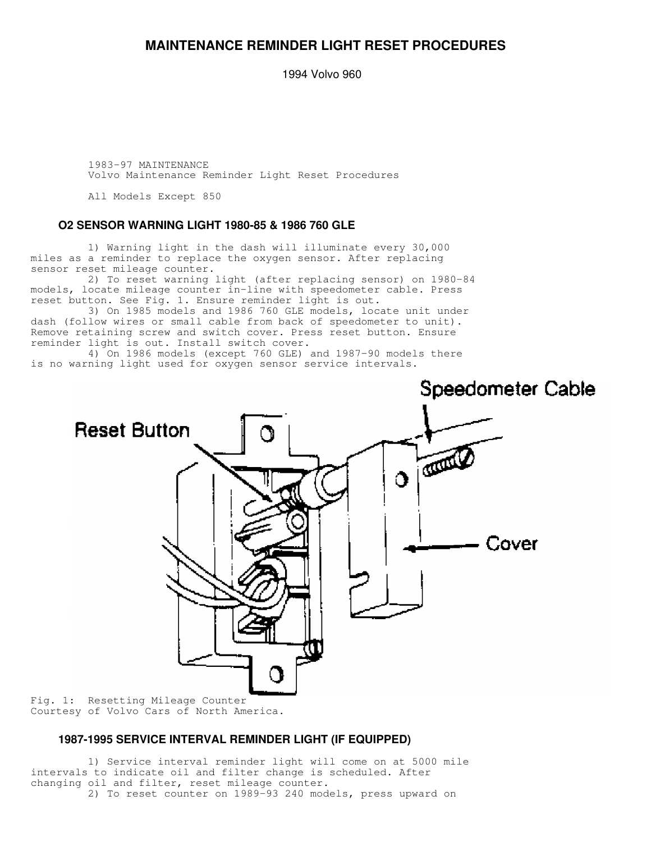## **MAINTENANCE REMINDER LIGHT RESET PROCEDURES**

1994 Volvo 960

 1983-97 MAINTENANCE Volvo Maintenance Reminder Light Reset Procedures

All Models Except 850

#### **O2 SENSOR WARNING LIGHT 1980-85 & 1986 760 GLE**

 1) Warning light in the dash will illuminate every 30,000 miles as a reminder to replace the oxygen sensor. After replacing sensor reset mileage counter.

 2) To reset warning light (after replacing sensor) on 1980-84 models, locate mileage counter in-line with speedometer cable. Press reset button. See Fig. 1. Ensure reminder light is out.

 3) On 1985 models and 1986 760 GLE models, locate unit under dash (follow wires or small cable from back of speedometer to unit). Remove retaining screw and switch cover. Press reset button. Ensure reminder light is out. Install switch cover.

 4) On 1986 models (except 760 GLE) and 1987-90 models there is no warning light used for oxygen sensor service intervals.



Fig. 1: Resetting Mileage Counter Courtesy of Volvo Cars of North America.

### **1987-1995 SERVICE INTERVAL REMINDER LIGHT (IF EQUIPPED)**

 1) Service interval reminder light will come on at 5000 mile intervals to indicate oil and filter change is scheduled. After changing oil and filter, reset mileage counter. 2) To reset counter on 1989-93 240 models, press upward on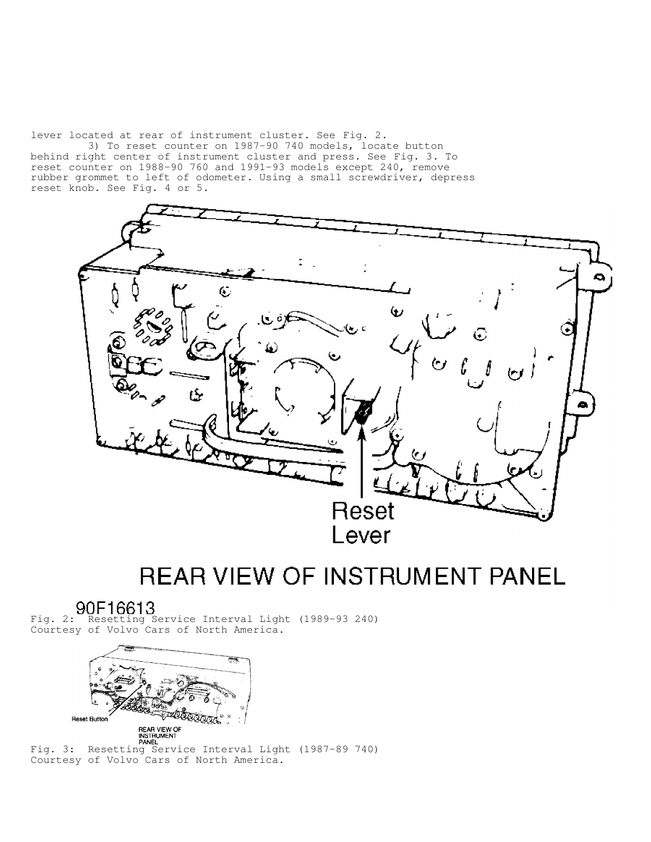lever located at rear of instrument cluster. See Fig. 2.

 3) To reset counter on 1987-90 740 models, locate button behind right center of instrument cluster and press. See Fig. 3. To reset counter on 1988-90 760 and 1991-93 models except 240, remove rubber grommet to left of odometer. Using a small screwdriver, depress reset knob. See Fig. 4 or 5.



# **REAR VIEW OF INSTRUMENT PANEL**

Fig. 2: Resetting Service Interval Light (1989-93 240) Courtesy of Volvo Cars of North America.



NITHUMENT<br>Fig. 3: Resetting Service Interval Light (1987-89 740) Courtesy of Volvo Cars of North America.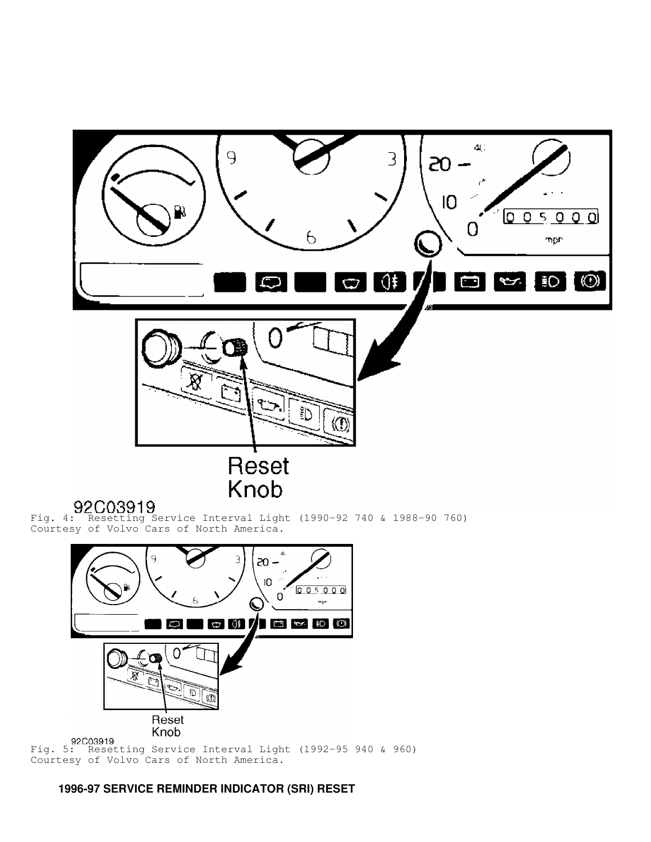

Fig. 5: Resetting Service Interval Light (1992-95 940 & 960) Courtesy of Volvo Cars of North America.

 **1996-97 SERVICE REMINDER INDICATOR (SRI) RESET**